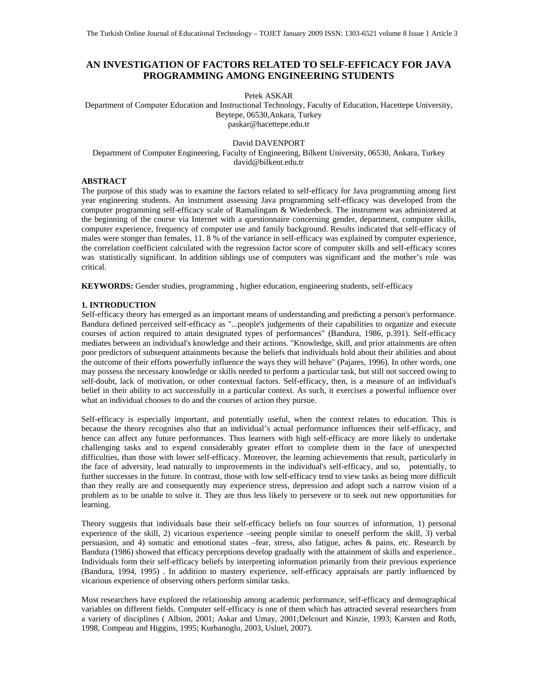# **AN INVESTIGATION OF FACTORS RELATED TO SELF-EFFICACY FOR JAVA PROGRAMMING AMONG ENGINEERING STUDENTS**

Petek ASKAR

Department of Computer Education and Instructional Technology, Faculty of Education, Hacettepe University, Beytepe, 06530,Ankara, Turkey paskar@hacettepe.edu.tr

### David DAVENPORT

Department of Computer Engineering, Faculty of Engineering, Bilkent University, 06530, Ankara, Turkey david@bilkent.edu.tr

### **ABSTRACT**

The purpose of this study was to examine the factors related to self-efficacy for Java programming among first year engineering students. An instrument assessing Java programming self-efficacy was developed from the computer programming self-efficacy scale of Ramalingam & Wiedenbeck. The instrument was administered at the beginning of the course via Internet with a questionnaire concerning gender, department, computer skills, computer experience, frequency of computer use and family background. Results indicated that self-efficacy of males were stonger than females, 11. 8 % of the variance in self-efficacy was explained by computer experience, the correlation coefficient calculated with the regression factor score of computer skills and self-efficacy scores was statistically significant. In addition siblings use of computers was significant and the mother's role was critical.

**KEYWORDS:** Gender studies, programming , higher education, engineering students, self-efficacy

### **1. INTRODUCTION**

Self-efficacy theory has emerged as an important means of understanding and predicting a person's performance. Bandura defined perceived self-efficacy as "...people's judgements of their capabilities to organize and execute courses of action required to attain designated types of performances" (Bandura, 1986, p.391). Self-efficacy mediates between an individual's knowledge and their actions. "Knowledge, skill, and prior attainments are often poor predictors of subsequent attainments because the beliefs that individuals hold about their abilities and about the outcome of their efforts powerfully influence the ways they will behave" (Pajares, 1996). In other words, one may possess the necessary knowledge or skills needed to perform a particular task, but still not succeed owing to self-doubt, lack of motivation, or other contextual factors. Self-efficacy, then, is a measure of an individual's belief in their ability to act successfully in a particular context. As such, it exercises a powerful influence over what an individual chooses to do and the courses of action they pursue.

Self-efficacy is especially important, and potentially useful, when the context relates to education. This is because the theory recognises also that an individual's actual performance influences their self-efficacy, and hence can affect any future performances. Thus learners with high self-efficacy are more likely to undertake challenging tasks and to expend considerably greater effort to complete them in the face of unexpected difficulties, than those with lower self-efficacy. Moreover, the learning achievements that result, particularly in the face of adversity, lead naturally to improvements in the individual's self-efficacy, and so, potentially, to further successes in the future. In contrast, those with low self-efficacy tend to view tasks as being more difficult than they really are and consequently may experience stress, depression and adopt such a narrow vision of a problem as to be unable to solve it. They are thus less likely to persevere or to seek out new opportunities for learning.

Theory suggests that individuals base their self-efficacy beliefs on four sources of information, 1) personal experience of the skill, 2) vicarious experience –seeing people similar to oneself perform the skill, 3) verbal persuasion, and 4) somatic and emotional states –fear, stress, also fatigue, aches & pains, etc. Research by Bandura (1986) showed that efficacy perceptions develop gradually with the attainment of skills and experience.. Individuals form their self-efficacy beliefs by interpreting information primarily from their previous experience (Bandura, 1994, 1995) . In addition to mastery experience, self-efficacy appraisals are partly influenced by vicarious experience of observing others perform similar tasks.

Most researchers have explored the relationship among academic performance, self-efficacy and demographical variables on different fields. Computer self-efficacy is one of them which has attracted several researchers from a variety of disciplines ( Albion, 2001; Askar and Umay, 2001;Delcourt and Kinzie, 1993; Karsten and Roth, 1998, Compeau and Higgins, 1995; Kurbanoglu, 2003, Usluel, 2007).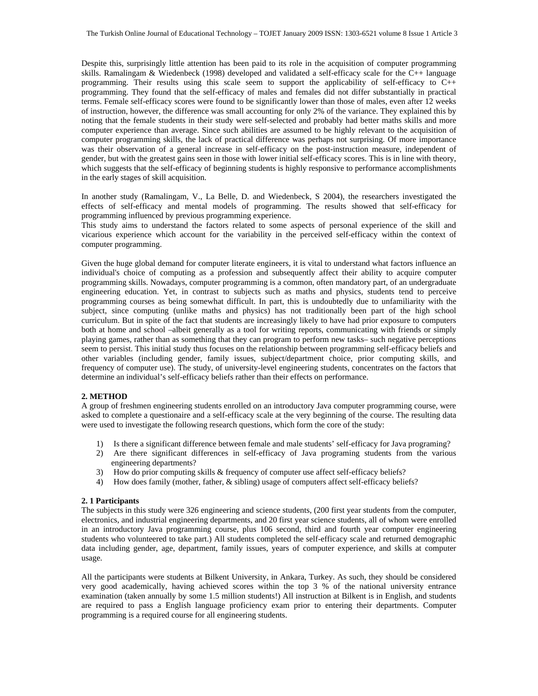Despite this, surprisingly little attention has been paid to its role in the acquisition of computer programming skills. Ramalingam & Wiedenbeck (1998) developed and validated a self-efficacy scale for the C++ language programming. Their results using this scale seem to support the applicability of self-efficacy to C++ programming. They found that the self-efficacy of males and females did not differ substantially in practical terms. Female self-efficacy scores were found to be significantly lower than those of males, even after 12 weeks of instruction, however, the difference was small accounting for only 2% of the variance. They explained this by noting that the female students in their study were self-selected and probably had better maths skills and more computer experience than average. Since such abilities are assumed to be highly relevant to the acquisition of computer programming skills, the lack of practical difference was perhaps not surprising. Of more importance was their observation of a general increase in self-efficacy on the post-instruction measure, independent of gender, but with the greatest gains seen in those with lower initial self-efficacy scores. This is in line with theory, which suggests that the self-efficacy of beginning students is highly responsive to performance accomplishments in the early stages of skill acquisition.

In another study (Ramalingam, V., La Belle, D. and Wiedenbeck, S 2004), the researchers investigated the effects of self-efficacy and mental models of programming. The results showed that self-efficacy for programming influenced by previous programming experience.

This study aims to understand the factors related to some aspects of personal experience of the skill and vicarious experience which account for the variability in the perceived self-efficacy within the context of computer programming.

Given the huge global demand for computer literate engineers, it is vital to understand what factors influence an individual's choice of computing as a profession and subsequently affect their ability to acquire computer programming skills. Nowadays, computer programming is a common, often mandatory part, of an undergraduate engineering education. Yet, in contrast to subjects such as maths and physics, students tend to perceive programming courses as being somewhat difficult. In part, this is undoubtedly due to unfamiliarity with the subject, since computing (unlike maths and physics) has not traditionally been part of the high school curriculum. But in spite of the fact that students are increasingly likely to have had prior exposure to computers both at home and school –albeit generally as a tool for writing reports, communicating with friends or simply playing games, rather than as something that they can program to perform new tasks– such negative perceptions seem to persist. This initial study thus focuses on the relationship between programming self-efficacy beliefs and other variables (including gender, family issues, subject/department choice, prior computing skills, and frequency of computer use). The study, of university-level engineering students, concentrates on the factors that determine an individual's self-efficacy beliefs rather than their effects on performance.

# **2. METHOD**

A group of freshmen engineering students enrolled on an introductory Java computer programming course, were asked to complete a questionaire and a self-efficacy scale at the very beginning of the course. The resulting data were used to investigate the following research questions, which form the core of the study:

- 1) Is there a significant difference between female and male students' self-efficacy for Java programing?
- 2) Are there significant differences in self-efficacy of Java programing students from the various engineering departments?
- 3) How do prior computing skills & frequency of computer use affect self-efficacy beliefs?
- 4) How does family (mother, father, & sibling) usage of computers affect self-efficacy beliefs?

#### **2. 1 Participants**

The subjects in this study were 326 engineering and science students, (200 first year students from the computer, electronics, and industrial engineering departments, and 20 first year science students, all of whom were enrolled in an introductory Java programming course, plus 106 second, third and fourth year computer engineering students who volunteered to take part.) All students completed the self-efficacy scale and returned demographic data including gender, age, department, family issues, years of computer experience, and skills at computer usage.

All the participants were students at Bilkent University, in Ankara, Turkey. As such, they should be considered very good academically, having achieved scores within the top 3 % of the national university entrance examination (taken annually by some 1.5 million students!) All instruction at Bilkent is in English, and students are required to pass a English language proficiency exam prior to entering their departments. Computer programming is a required course for all engineering students.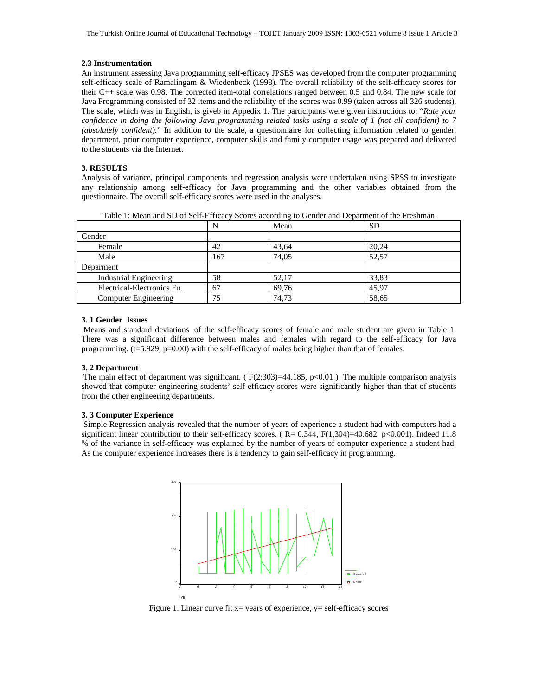#### **2.3 Instrumentation**

An instrument assessing Java programming self-efficacy JPSES was developed from the computer programming self-efficacy scale of Ramalingam & Wiedenbeck (1998). The overall reliability of the self-efficacy scores for their C++ scale was 0.98. The corrected item-total correlations ranged between 0.5 and 0.84. The new scale for Java Programming consisted of 32 items and the reliability of the scores was 0.99 (taken across all 326 students). The scale, which was in English, is giveb in Appedix 1. The participants were given instructions to: "*Rate your confidence in doing the following Java programming related tasks using a scale of 1 (not all confident) to 7 (absolutely confident).*" In addition to the scale, a questionnaire for collecting information related to gender, department, prior computer experience, computer skills and family computer usage was prepared and delivered to the students via the Internet.

#### **3. RESULTS**

Analysis of variance, principal components and regression analysis were undertaken using SPSS to investigate any relationship among self-efficacy for Java programming and the other variables obtained from the questionnaire. The overall self-efficacy scores were used in the analyses.

|                               | N   | Mean  | <b>SD</b> |
|-------------------------------|-----|-------|-----------|
| Gender                        |     |       |           |
| Female                        | 42  | 43,64 | 20,24     |
| Male                          | 167 | 74.05 | 52.57     |
| Deparment                     |     |       |           |
| <b>Industrial Engineering</b> | 58  | 52,17 | 33,83     |
| Electrical-Electronics En.    | 67  | 69,76 | 45,97     |
| <b>Computer Engineering</b>   | 75  | 74.73 | 58,65     |

Table 1: Mean and SD of Self-Efficacy Scores according to Gender and Deparment of the Freshman

### **3. 1 Gender Issues**

 Means and standard deviations of the self-efficacy scores of female and male student are given in Table 1. There was a significant difference between males and females with regard to the self-efficacy for Java programming.  $(t=5.929, p=0.00)$  with the self-efficacy of males being higher than that of females.

#### **3. 2 Department**

The main effect of department was significant. ( $F(2;303)=44.185$ ,  $p<0.01$ ) The multiple comparison analysis showed that computer engineering students' self-efficacy scores were significantly higher than that of students from the other engineering departments.

### **3. 3 Computer Experience**

 Simple Regression analysis revealed that the number of years of experience a student had with computers had a significant linear contribution to their self-efficacy scores. ( $R = 0.344$ ,  $F(1,304)=40.682$ , p<0.001). Indeed 11.8 % of the variance in self-efficacy was explained by the number of years of computer experience a student had. As the computer experience increases there is a tendency to gain self-efficacy in programming.



Figure 1. Linear curve fit  $x=$  years of experience,  $y=$  self-efficacy scores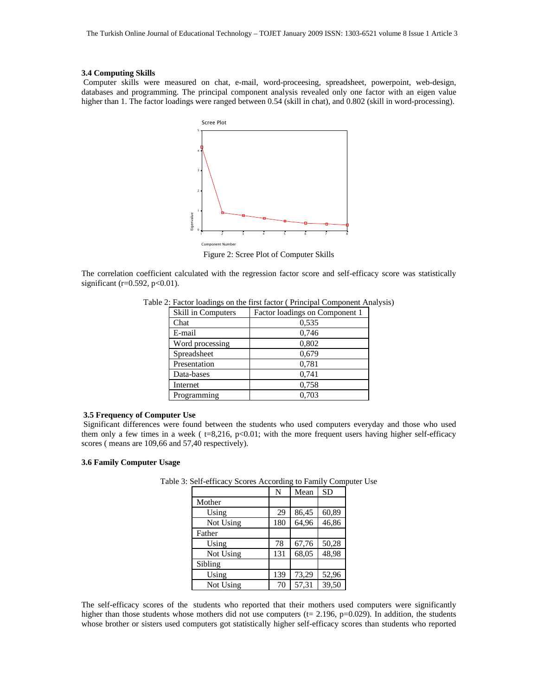#### **3.4 Computing Skills**

 Computer skills were measured on chat, e-mail, word-proceesing, spreadsheet, powerpoint, web-design, databases and programming. The principal component analysis revealed only one factor with an eigen value higher than 1. The factor loadings were ranged between 0.54 (skill in chat), and 0.802 (skill in word-processing).



Figure 2: Scree Plot of Computer Skills

The correlation coefficient calculated with the regression factor score and self-efficacy score was statistically significant ( $r=0.592$ ,  $p<0.01$ ).

| Skill in Computers | Factor loadings on Component 1 |
|--------------------|--------------------------------|
| Chat               | 0,535                          |
| E-mail             | 0,746                          |
| Word processing    | 0,802                          |
| Spreadsheet        | 0,679                          |
| Presentation       | 0.781                          |
| Data-bases         | 0,741                          |
| Internet           | 0,758                          |
| Programming        | 0.703                          |

Table 2: Factor loadings on the first factor ( Principal Component Analysis)

# **3.5 Frequency of Computer Use**

 Significant differences were found between the students who used computers everyday and those who used them only a few times in a week ( $t=8,216, p<0.01$ ; with the more frequent users having higher self-efficacy scores ( means are 109,66 and 57,40 respectively).

### **3.6 Family Computer Usage**

|           | N   | Mean  | <b>SD</b> |
|-----------|-----|-------|-----------|
| Mother    |     |       |           |
| Using     | 29  | 86,45 | 60,89     |
| Not Using | 180 | 64.96 | 46,86     |
| Father    |     |       |           |
| Using     | 78  | 67,76 | 50,28     |
| Not Using | 131 | 68,05 | 48,98     |
| Sibling   |     |       |           |
| Using     | 139 | 73,29 | 52,96     |
| Not Using | 70  | 57,31 | 39,50     |

Table 3: Self-efficacy Scores According to Family Computer Use

The self-efficacy scores of the students who reported that their mothers used computers were significantly higher than those students whose mothers did not use computers ( $t = 2.196$ ,  $p=0.029$ ). In addition, the students whose brother or sisters used computers got statistically higher self-efficacy scores than students who reported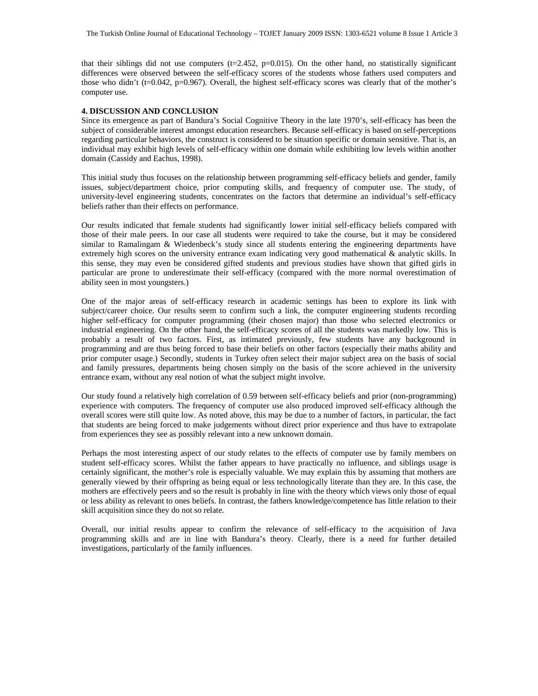that their siblings did not use computers ( $t=2.452$ ,  $p=0.015$ ). On the other hand, no statistically significant differences were observed between the self-efficacy scores of the students whose fathers used computers and those who didn't (t=0.042, p=0.967). Overall, the highest self-efficacy scores was clearly that of the mother's computer use.

# **4. DISCUSSION AND CONCLUSION**

Since its emergence as part of Bandura's Social Cognitive Theory in the late 1970's, self-efficacy has been the subject of considerable interest amongst education researchers. Because self-efficacy is based on self-perceptions regarding particular behaviors, the construct is considered to be situation specific or domain sensitive. That is, an individual may exhibit high levels of self-efficacy within one domain while exhibiting low levels within another domain (Cassidy and Eachus, 1998).

This initial study thus focuses on the relationship between programming self-efficacy beliefs and gender, family issues, subject/department choice, prior computing skills, and frequency of computer use. The study, of university-level engineering students, concentrates on the factors that determine an individual's self-efficacy beliefs rather than their effects on performance.

Our results indicated that female students had significantly lower initial self-efficacy beliefs compared with those of their male peers. In our case all students were required to take the course, but it may be considered similar to Ramalingam & Wiedenbeck's study since all students entering the engineering departments have extremely high scores on the university entrance exam indicating very good mathematical & analytic skills. In this sense, they may even be considered gifted students and previous studies have shown that gifted girls in particular are prone to underestimate their self-efficacy (compared with the more normal overestimation of ability seen in most youngsters.)

One of the major areas of self-efficacy research in academic settings has been to explore its link with subject/career choice. Our results seem to confirm such a link, the computer engineering students recording higher self-efficacy for computer programming (their chosen major) than those who selected electronics or industrial engineering. On the other hand, the self-efficacy scores of all the students was markedly low. This is probably a result of two factors. First, as intimated previously, few students have any background in programming and are thus being forced to base their beliefs on other factors (especially their maths ability and prior computer usage.) Secondly, students in Turkey often select their major subject area on the basis of social and family pressures, departments being chosen simply on the basis of the score achieved in the university entrance exam, without any real notion of what the subject might involve.

Our study found a relatively high correlation of 0.59 between self-efficacy beliefs and prior (non-programming) experience with computers. The frequency of computer use also produced improved self-efficacy although the overall scores were still quite low. As noted above, this may be due to a number of factors, in particular, the fact that students are being forced to make judgements without direct prior experience and thus have to extrapolate from experiences they see as possibly relevant into a new unknown domain.

Perhaps the most interesting aspect of our study relates to the effects of computer use by family members on student self-efficacy scores. Whilst the father appears to have practically no influence, and siblings usage is certainly significant, the mother's role is especially valuable. We may explain this by assuming that mothers are generally viewed by their offspring as being equal or less technologically literate than they are. In this case, the mothers are effectively peers and so the result is probably in line with the theory which views only those of equal or less ability as relevant to ones beliefs. In contrast, the fathers knowledge/competence has little relation to their skill acquisition since they do not so relate.

Overall, our initial results appear to confirm the relevance of self-efficacy to the acquisition of Java programming skills and are in line with Bandura's theory. Clearly, there is a need for further detailed investigations, particularly of the family influences.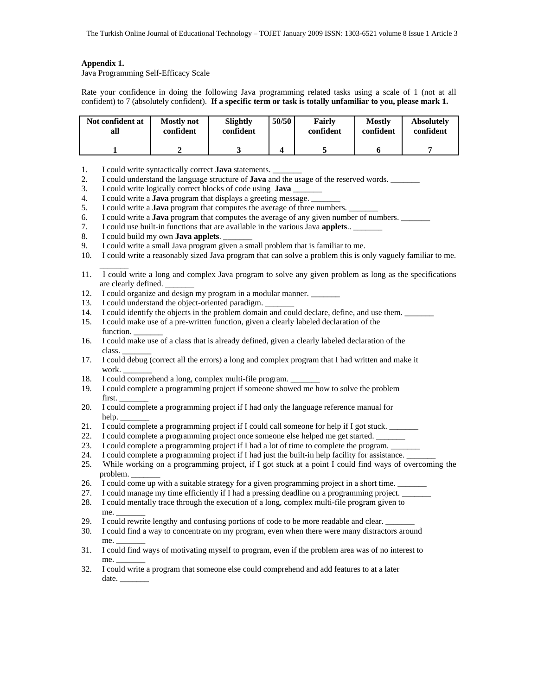# **Appendix 1.**

Java Programming Self-Efficacy Scale

Rate your confidence in doing the following Java programming related tasks using a scale of 1 (not at all confident) to 7 (absolutely confident). **If a specific term or task is totally unfamiliar to you, please mark 1.**

| Not confident at | <b>Mostly</b> not | Slightly  | 50/50 | Fairly    | <b>Mostly</b> | <b>Absolutely</b> |
|------------------|-------------------|-----------|-------|-----------|---------------|-------------------|
| all              | confident         | confident |       | confident | confident     | confident         |
|                  |                   |           |       |           |               |                   |

- 1. I could write syntactically correct **Java** statements. \_\_\_\_\_\_\_
- 2. I could understand the language structure of **Java** and the usage of the reserved words. \_\_\_\_\_\_\_
- 3. I could write logically correct blocks of code using **Java** \_\_\_\_\_\_\_
- 
- 4. I could write a **Java** program that displays a greeting message. <br>5. I could write a **Java** program that computes the average of three 5. I could write a **Java** program that computes the average of three numbers. \_\_\_\_\_\_\_
- 6. I could write a **Java** program that computes the average of any given number of numbers. \_\_\_\_\_\_\_
- 7. I could use built-in functions that are available in the various Java **applets**.. \_\_\_\_\_\_\_
- 8. I could build my own **Java applets**. \_\_\_\_\_\_\_
- 9. I could write a small Java program given a small problem that is familiar to me.
- 10. I could write a reasonably sized Java program that can solve a problem this is only vaguely familiar to me.
- $\overline{\phantom{a}}$ 11. I could write a long and complex Java program to solve any given problem as long as the specifications are clearly defined.
- 12. I could organize and design my program in a modular manner. \_\_\_\_\_\_\_
- 13. I could understand the object-oriented paradigm.
- 14. I could identify the objects in the problem domain and could declare, define, and use them. \_\_\_\_\_\_\_
- 15. I could make use of a pre-written function, given a clearly labeled declaration of the function.
- 16. I could make use of a class that is already defined, given a clearly labeled declaration of the class. \_\_\_\_\_\_\_
- 17. I could debug (correct all the errors) a long and complex program that I had written and make it work.
- 18. I could comprehend a long, complex multi-file program.
- 19. I could complete a programming project if someone showed me how to solve the problem first. \_\_\_\_\_\_\_
- 20. I could complete a programming project if I had only the language reference manual for
- help.<br>21. I coul I could complete a programming project if I could call someone for help if I got stuck.
- 22. I could complete a programming project once someone else helped me get started.
- 23. I could complete a programming project if I had a lot of time to complete the program.
- 24. I could complete a programming project if I had just the built-in help facility for assistance.
- 25. While working on a programming project, if I got stuck at a point I could find ways of overcoming the problem.
- 26. I could come up with a suitable strategy for a given programming project in a short time.
- 27. I could manage my time efficiently if I had a pressing deadline on a programming project.
- 28. I could mentally trace through the execution of a long, complex multi-file program given to me. \_\_\_\_\_\_\_
- 29. I could rewrite lengthy and confusing portions of code to be more readable and clear.
- 30. I could find a way to concentrate on my program, even when there were many distractors around me.
- 31. I could find ways of motivating myself to program, even if the problem area was of no interest to  $me<sub>1</sub>$
- 32. I could write a program that someone else could comprehend and add features to at a later date.